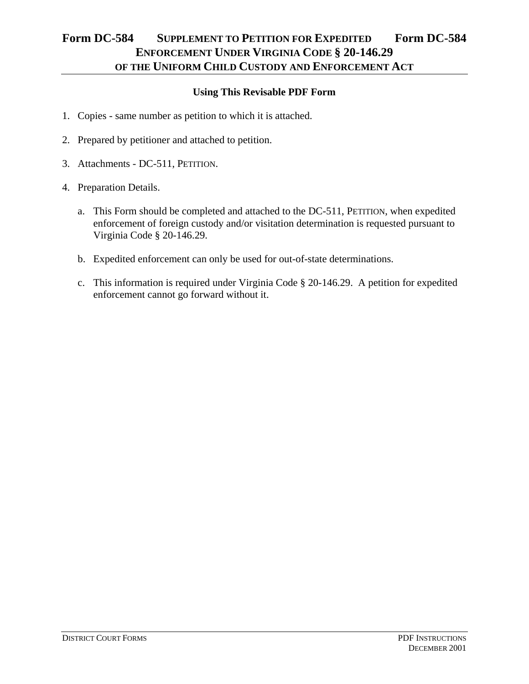## **Form DC-584 SUPPLEMENT TO PETITION FOR EXPEDITED Form DC-584 ENFORCEMENT UNDER VIRGINIA CODE § 20-146.29 OF THE UNIFORM CHILD CUSTODY AND ENFORCEMENT ACT**

## **Using This Revisable PDF Form**

- 1. Copies same number as petition to which it is attached.
- 2. Prepared by petitioner and attached to petition.
- 3. Attachments DC-511, PETITION.
- 4. Preparation Details.
	- a. This Form should be completed and attached to the DC-511, PETITION, when expedited enforcement of foreign custody and/or visitation determination is requested pursuant to Virginia Code § 20-146.29.
	- b. Expedited enforcement can only be used for out-of-state determinations.
	- c. This information is required under Virginia Code § 20-146.29. A petition for expedited enforcement cannot go forward without it.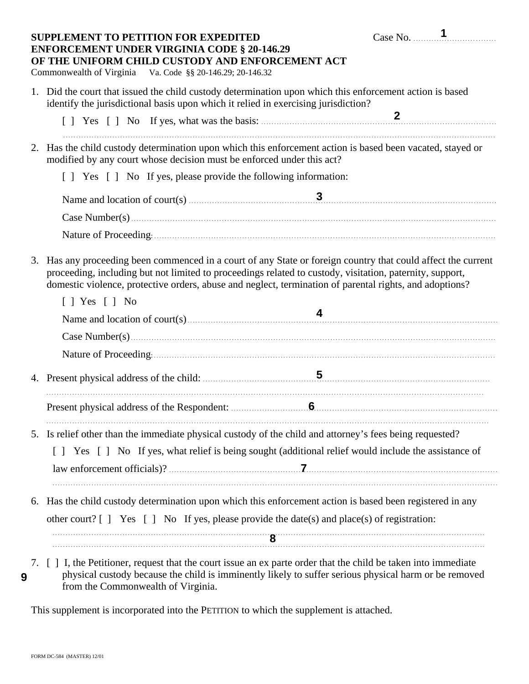|    | <b>SUPPLEMENT TO PETITION FOR EXPEDITED</b><br><b>ENFORCEMENT UNDER VIRGINIA CODE § 20-146.29</b><br>OF THE UNIFORM CHILD CUSTODY AND ENFORCEMENT ACT<br>Commonwealth of Virginia Va. Code §§ 20-146.29; 20-146.32                                                                                                                | Case No. $\frac{1}{2}$ |
|----|-----------------------------------------------------------------------------------------------------------------------------------------------------------------------------------------------------------------------------------------------------------------------------------------------------------------------------------|------------------------|
|    | 1. Did the court that issued the child custody determination upon which this enforcement action is based<br>identify the jurisdictional basis upon which it relied in exercising jurisdiction?                                                                                                                                    |                        |
|    |                                                                                                                                                                                                                                                                                                                                   |                        |
| 2. | Has the child custody determination upon which this enforcement action is based been vacated, stayed or<br>modified by any court whose decision must be enforced under this act?                                                                                                                                                  |                        |
|    | [ ] Yes [ ] No If yes, please provide the following information:                                                                                                                                                                                                                                                                  |                        |
|    |                                                                                                                                                                                                                                                                                                                                   |                        |
|    |                                                                                                                                                                                                                                                                                                                                   |                        |
|    |                                                                                                                                                                                                                                                                                                                                   |                        |
| 3. | Has any proceeding been commenced in a court of any State or foreign country that could affect the current<br>proceeding, including but not limited to proceedings related to custody, visitation, paternity, support,<br>domestic violence, protective orders, abuse and neglect, termination of parental rights, and adoptions? |                        |
|    | $[$   Yes $[$   No                                                                                                                                                                                                                                                                                                                |                        |
|    |                                                                                                                                                                                                                                                                                                                                   |                        |
|    |                                                                                                                                                                                                                                                                                                                                   |                        |
|    |                                                                                                                                                                                                                                                                                                                                   |                        |
|    |                                                                                                                                                                                                                                                                                                                                   |                        |
|    |                                                                                                                                                                                                                                                                                                                                   |                        |
|    | 5. Is relief other than the immediate physical custody of the child and attorney's fees being requested?                                                                                                                                                                                                                          |                        |
|    | [] Yes [] No If yes, what relief is being sought (additional relief would include the assistance of                                                                                                                                                                                                                               |                        |
|    |                                                                                                                                                                                                                                                                                                                                   |                        |
|    | 6. Has the child custody determination upon which this enforcement action is based been registered in any                                                                                                                                                                                                                         |                        |
|    | other court? $[ ]$ Yes $[ ]$ No If yes, please provide the date(s) and place(s) of registration:                                                                                                                                                                                                                                  |                        |
|    | $\bf 8$ . The continuum contract of the contract of $\bf 8$ . The contract of the contract of the contract of the contract of the contract of the contract of the contract of the contract of the contract of the contract of t                                                                                                   |                        |
|    | 7 [ ] I the Petitioner request that the court issue an ex parte order that the child be taken into immediate                                                                                                                                                                                                                      |                        |

7. [ ] I, the Petitioner, request that the court issue an ex parte order that the child be taken into immediate physical custody because the child is imminently likely to suffer serious physical harm or be removed from the Commonwealth of Virginia.

This supplement is incorporated into the PETITION to which the supplement is attached.

**9**